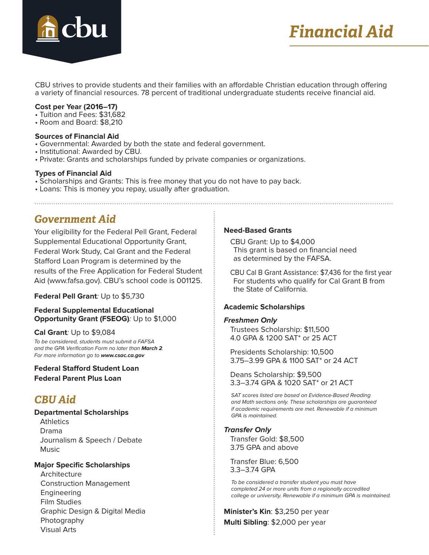

# *Financial Aid*

CBU strives to provide students and their families with an affordable Christian education through offering a variety of financial resources. 78 percent of traditional undergraduate students receive financial aid.

### **Cost per Year (2016–17)**

- Tuition and Fees: \$31,682
- Room and Board: \$8,210

#### **Sources of Financial Aid**

- Governmental: Awarded by both the state and federal government.
- Institutional: Awarded by CBU.
- Private: Grants and scholarships funded by private companies or organizations.

#### **Types of Financial Aid**

- Scholarships and Grants: This is free money that you do not have to pay back.
- Loans: This is money you repay, usually after graduation.

### *Government Aid*

Your eligibility for the Federal Pell Grant, Federal Supplemental Educational Opportunity Grant, Federal Work Study, Cal Grant and the Federal Stafford Loan Program is determined by the results of the Free Application for Federal Student Aid (www.fafsa.gov). CBU's school code is 001125.

### **Federal Pell Grant**: Up to \$5,730

### **Federal Supplemental Educational Opportunity Grant (FSEOG)**: Up to \$1,000

### **Cal Grant**: Up to \$9,084

To be considered, students must submit a FAFSA and the GPA Verification Form no later than **March 2**. For more information go to **www.csac.ca.gov**

### **Federal Stafford Student Loan Federal Parent Plus Loan**

### *CBU Aid*

**Departmental Scholarships**

**Athletics**  Drama Journalism & Speech / Debate **Music** 

### **Major Specific Scholarships**

**Architecture** Construction Management Engineering Film Studies Graphic Design & Digital Media Photography Visual Arts

### **Need-Based Grants**

CBU Grant: Up to \$4,000 This grant is based on financial need as determined by the FAFSA.

CBU Cal B Grant Assistance: \$7,436 for the first year For students who qualify for Cal Grant B from the State of California.

### **Academic Scholarships**

### **Freshmen Only**

Trustees Scholarship: \$11,500 4.0 GPA & 1200 SAT\* or 25 ACT

Presidents Scholarship: 10,500 3.75–3.99 GPA & 1100 SAT\* or 24 ACT

Deans Scholarship: \$9,500 3.3–3.74 GPA & 1020 SAT\* or 21 ACT

 SAT scores listed are based on Evidence-Based Reading and Math sections only. These scholarships are guaranteed if academic requirements are met. Renewable if a minimum GPA is maintained.

### **Transfer Only**

Transfer Gold: \$8,500 3.75 GPA and above

Transfer Blue: 6,500 3.3–3.74 GPA

 To be considered a transfer student you must have completed 24 or more units from a regionally accredited college or university. Renewable if a minimum GPA is maintained.

**Minister's Kin**: \$3,250 per year **Multi Sibling**: \$2,000 per year